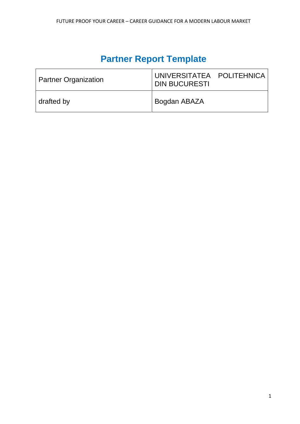# **Partner Report Template**

| <b>Partner Organization</b> | UNIVERSITATEA POLITEHNICA<br><b>DIN BUCURESTI</b> |
|-----------------------------|---------------------------------------------------|
| drafted by                  | Bogdan ABAZA                                      |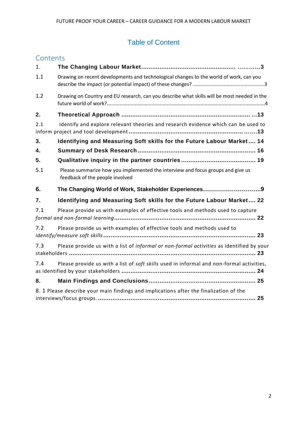## Table of Content

| Contents |                                                                                                                    |
|----------|--------------------------------------------------------------------------------------------------------------------|
| 1.       |                                                                                                                    |
| 1.1      | Drawing on recent developments and technological changes to the world of work, can you                             |
| 1.2      | Drawing on Country and EU research, can you describe what skills will be most needed in the                        |
| 2.       |                                                                                                                    |
| 2.1      | Identify and explore relevant theories and research evidence which can be used to                                  |
| 3.       | Identifying and Measuring Soft skills for the Future Labour Market 14                                              |
| 4.       |                                                                                                                    |
| 5.       |                                                                                                                    |
| 5.1      | Please summarize how you implemented the interview and focus groups and give us<br>feedback of the people involved |
| 6.       |                                                                                                                    |
| 7.       | Identifying and Measuring Soft skills for the Future Labour Market 22                                              |
| 7.1      | Please provide us with examples of effective tools and methods used to capture                                     |
| 7.2      | Please provide us with examples of effective tools and methods used to                                             |
| 7.3      | Please provide us with a list of informal or non-formal activities as identified by your                           |
| 7.4      | Please provide us with a list of soft skills used in informal and non-formal activities,                           |
| 8.       |                                                                                                                    |
|          | 8. 1 Please describe your main findings and implications after the finalization of the                             |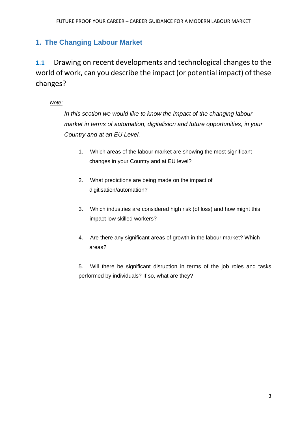## <span id="page-2-0"></span>**1. The Changing Labour Market**

**1.1** Drawing on recent developments and technological changes to the world of work, can you describe the impact (or potential impact) of these changes?

## *Note:*

*In this section we would like to know the impact of the changing labour market in terms of automation, digitalision and future opportunities, in your Country and at an EU Level.* 

- 1. Which areas of the labour market are showing the most significant changes in your Country and at EU level?
- 2. What predictions are being made on the impact of digitisation/automation?
- 3. Which industries are considered high risk (of loss) and how might this impact low skilled workers?
- 4. Are there any significant areas of growth in the labour market? Which areas?

5. Will there be significant disruption in terms of the job roles and tasks performed by individuals? If so, what are they?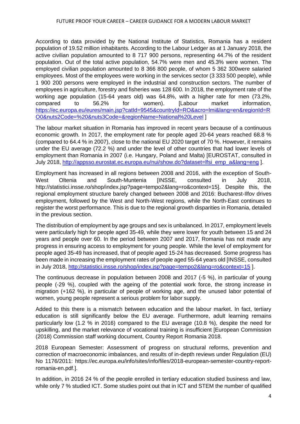According to data provided by the National Institute of Statistics, Romania has a resident population of 19.52 million inhabitants. According to the Labour Ledger as at 1 January 2018, the active civilian population amounted to 8 717 900 persons, representing 44.7% of the resident population. Out of the total active population, 54.7% were men and 45.3% were women. The employed civilian population amounted to 8 366 800 people, of whom 5 362 300were salaried employees. Most of the employees were working in the services sector (3 333 500 people), while 1 900 200 persons were employed in the industrial and construction sectors. The number of employees in agriculture, forestry and fisheries was 128 600. In 2018, the employment rate of the working age population (15-64 years old) was 64.8%, with a higher rate for men (73.2%, compared to 56.2% for women). [Labour market information, [https://ec.europa.eu/eures/main.jsp?catId=9545&countryId=RO&acro=lmi&lang=en&regionId=R](https://ec.europa.eu/eures/main.jsp?catId=9545&countryId=RO&acro=lmi&lang=en®ionId=RO0&nuts2Code=%20&nuts3Code=®ionName=National%20Level) [O0&nuts2Code=%20&nuts3Code=&regionName=National%20Level](https://ec.europa.eu/eures/main.jsp?catId=9545&countryId=RO&acro=lmi&lang=en®ionId=RO0&nuts2Code=%20&nuts3Code=®ionName=National%20Level) ]

The labour market situation in Romania has improved in recent years because of a continuous economic growth. In 2017, the employment rate for people aged 20-64 years reached 68.8 % (compared to 64.4 % in 2007), close to the national EU 2020 target of 70 %. However, it remains under the EU average (72.2 %) and under the level of other countries that had lower levels of employment than Romania in 2007 (i.e. Hungary, Poland and Malta) [EUROSTAT, consulted in July 2018, [http://appsso.eurostat.ec.europa.eu/nui/show.do?dataset=lfsi\\_emp\\_a&lang=eng](http://appsso.eurostat.ec.europa.eu/nui/show.do?dataset=lfsi_emp_a&lang=eng) ].

Employment has increased in all regions between 2008 and 2016, with the exception of South-West Oltenia and South-Muntenia [INSSE, consulted in July 2018, http://statistici.insse.ro/shop/index.jsp?page=tempo2&lang=ro&context=15]. Despite this, the regional employment structure barely changed between 2008 and 2016: Bucharest-Ilfov drives employment, followed by the West and North-West regions, while the North-East continues to register the worst performance. This is due to the regional growth disparities in Romania, detailed in the previous section.

The distribution of employment by age groups and sex is unbalanced. In 2017, employment levels were particularly high for people aged 35-49, while they were lower for youth between 15 and 24 years and people over 60. In the period between 2007 and 2017, Romania has not made any progress in ensuring access to employment for young people. While the level of employment for people aged 35-49 has increased, that of people aged 15-24 has decreased. Some progress has been made in increasing the employment rates of people aged 55-64 years old [INSSE, consulted in July 2018,<http://statistici.insse.ro/shop/index.jsp?page=tempo2&lang=ro&context=15> ].

The continuous decrease in population between 2008 and 2017 (-5 %), in particular of young people (-29 %), coupled with the ageing of the potential work force, the strong increase in migration (+162 %), in particular of people of working age, and the unused labor potential of women, young people represent a serious problem for labor supply.

Added to this there is a mismatch between education and the labour market. In fact, tertiary education is still significantly below the EU average. Furthermore, adult learning remains particularly low (1.2 % in 2016) compared to the EU average (10.8 %), despite the need for upskilling, and the market relevance of vocational training is insufficient [European Commission (2018) Commission staff working document, Country Report Romania 2018.

2018 European Semester: Assessment of progress on structural reforms, prevention and correction of macroeconomic imbalances, and results of in-depth reviews under Regulation (EU) No 1176/2011: https://ec.europa.eu/info/sites/info/files/2018-european-semester-country-reportromania-en.pdf.].

In addition, in 2016 24 % of the people enrolled in tertiary education studied business and law, while only 7 % studied ICT. Some studies point out that in ICT and STEM the number of qualified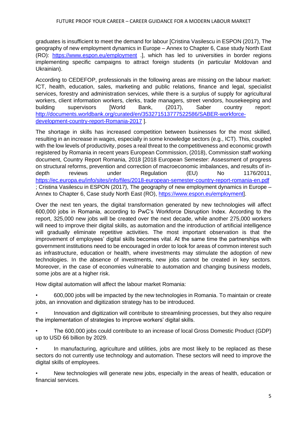graduates is insufficient to meet the demand for labour [Cristina Vasilescu in ESPON (2017), The geography of new employment dynamics in Europe – Annex to Chapter 6, Case study North East (RO): <https://www.espon.eu/employment> .], which has led to universities in border regions implementing specific campaigns to attract foreign students (in particular Moldovan and Ukrainian).

According to CEDEFOP, professionals in the following areas are missing on the labour market: ICT, health, education, sales, marketing and public relations, finance and legal, specialist services, forestry and administration services, while there is a surplus of supply for agricultural workers, client information workers, clerks, trade managers, street vendors, housekeeping and building supervisors [World Bank, (2017), Saber country report: [http://documents.worldbank.org/curated/en/353271513777522586/SABER-workforce](http://documents.worldbank.org/curated/en/353271513777522586/SABER-workforce-development-country-report-Romania-2017)[development-country-report-Romania-2017](http://documents.worldbank.org/curated/en/353271513777522586/SABER-workforce-development-country-report-Romania-2017) ].

The shortage in skills has increased competition between businesses for the most skilled, resulting in an increase in wages, especially in some knowledge sectors (e.g., ICT). This, coupled with the low levels of productivity, poses a real threat to the competitiveness and economic growth registered by Romania in recent years European Commission, (2018), Commission staff working document, Country Report Romania, 2018 [2018 European Semester: Assessment of progress on structural reforms, prevention and correction of macroeconomic imbalances, and results of indepth reviews under Regulation (EU) No 1176/2011, <https://ec.europa.eu/info/sites/info/files/2018-european-semester-country-report-romania-en.pdf> ; Cristina Vasilescu in ESPON (2017), The geography of new employment dynamics in Europe – Annex to Chapter 6, Case study North East (RO), [https://www.espon.eu/employment\]](https://www.espon.eu/employment).

Over the next ten years, the digital transformation generated by new technologies will affect 600,000 jobs in Romania, according to PwC's Workforce Disruption Index. According to the report, 325,000 new jobs will be created over the next decade, while another 275,000 workers will need to improve their digital skills, as automation and the introduction of artificial intelligence will gradually eliminate repetitive activities. The most important observation is that the improvement of employees' digital skills becomes vital. At the same time the partnerships with government institutions need to be encouraged in order to look for areas of common interest such as infrastructure, education or health, where investments may stimulate the adoption of new technologies. In the absence of investments, new jobs cannot be created in key sectors. Moreover, in the case of economies vulnerable to automation and changing business models, some jobs are at a higher risk.

How digital automation will affect the labour market Romania:

• 600,000 jobs will be impacted by the new technologies in Romania. To maintain or create jobs, an innovation and digitization strategy has to be introduced.

• Innovation and digitization will contribute to streamlining processes, but they also require the implementation of strategies to improve workers' digital skills.

• The 600,000 jobs could contribute to an increase of local Gross Domestic Product (GDP) up to USD 66 billion by 2029.

In manufacturing, agriculture and utilities, jobs are most likely to be replaced as these sectors do not currently use technology and automation. These sectors will need to improve the digital skills of employees.

• New technologies will generate new jobs, especially in the areas of health, education or financial services.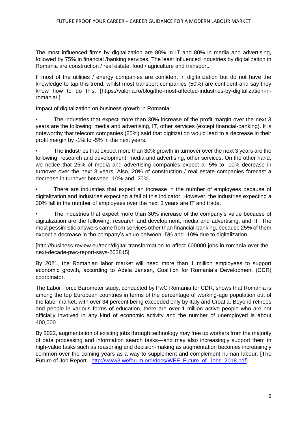The most influenced firms by digitalization are 80% in IT and 80% in media and advertising, followed by 75% in financial /banking services. The least influenced industries by digitalization in Romania are construction / real estate, food / agriculture and transport.

If most of the utilities / energy companies are confident in digitalization but do not have the knowledge to tap this trend, whilst most transport companies (50%) are confident and say they know how to do this. [https://valoria.ro/blog/the-most-affected-industries-by-digitalization-inromania/ ]

Impact of digitalization on business growth in Romania:

The industries that expect more than 30% increase of the profit margin over the next 3 years are the following: media and advertising, IT, other services (except financial-banking). It is noteworthy that telecom companies (25%) said that digitization would lead to a decrease in their profit margin by -1% to -5% in the next years.

• The industries that expect more than 30% growth in turnover over the next 3 years are the following: research and development, media and advertising, other services. On the other hand, we notice that 25% of media and advertising companies expect a -5% to -10% decrease in turnover over the next 3 years. Also, 20% of construction / real estate companies forecast a decrease in turnover between -10% and -20%.

There are industries that expect an increase in the number of employees because of digitalization and industries expecting a fall of this indicator. However, the industries expecting a 30% fall in the number of employees over the next 3 years are IT and trade.

• The industries that expect more than 30% increase of the company's value because of digitalization are the following: research and development, media and advertising, and IT. The most pessimistic answers came from services other than financial-banking, because 25% of them expect a decrease in the company's value between -5% and -10% due to digitalization.

[http://business-review.eu/tech/digital-transformation-to-affect-600000-jobs-in-romania-over-thenext-decade-pwc-report-says-202815]

By 2021, the Romanian labor market will need more than 1 million employees to support economic growth, according to Adela Jansen, Coalition for Romania's Development (CDR) coordinator.

The Labor Force Barometer study, conducted by PwC Romania for CDR, shows that Romania is among the top European countries in terms of the percentage of working-age population out of the labor market, with over 34 percent being exceeded only by Italy and Croatia. Beyond retirees and people in various forms of education, there are over 1 million active people who are not officially involved in any kind of economic activity and the number of unemployed is about 400,000.

By 2022, augmentation of existing jobs through technology may free up workers from the majority of data processing and information search tasks—and may also increasingly support them in high-value tasks such as reasoning and decision-making as augmentation becomes increasingly common over the coming years as a way to supplement and complement human labour. [The Future of Job Report - [http://www3.weforum.org/docs/WEF\\_Future\\_of\\_Jobs\\_2018.pdf\]](http://www3.weforum.org/docs/WEF_Future_of_Jobs_2018.pdf).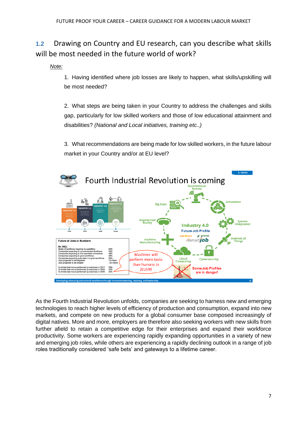**1.2** Drawing on Country and EU research, can you describe what skills will be most needed in the future world of work?

*Note:*

1. Having identified where job losses are likely to happen, what skills/upskilling will be most needed?

2. What steps are being taken in your Country to address the challenges and skills gap, particularly for low skilled workers and those of low educational attainment and disabilities? *(National and Local initiatives, training etc..)*

3. What recommendations are being made for low skilled workers, in the future labour market in your Country and/or at EU level?



As the Fourth Industrial Revolution unfolds, companies are seeking to harness new and emerging technologies to reach higher levels of efficiency of production and consumption, expand into new markets, and compete on new products for a global consumer base composed increasingly of digital natives. More and more, employers are therefore also seeking workers with new skills from further afield to retain a competitive edge for their enterprises and expand their workforce productivity. Some workers are experiencing rapidly expanding opportunities in a variety of new and emerging job roles, while others are experiencing a rapidly declining outlook in a range of job roles traditionally considered 'safe bets' and gateways to a lifetime career.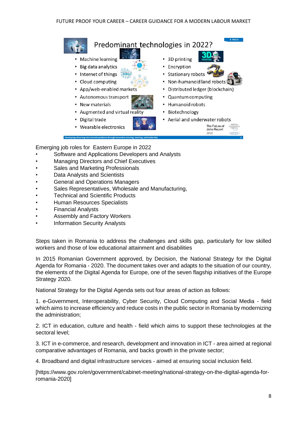

Emerging job roles for Eastern Europe in 2022

- Software and Applications Developers and Analysts
- Managing Directors and Chief Executives
- Sales and Marketing Professionals
- Data Analysts and Scientists
- General and Operations Managers
- Sales Representatives, Wholesale and Manufacturing,
- Technical and Scientific Products
- Human Resources Specialists
- Financial Analysts
- Assembly and Factory Workers
- Information Security Analysts

Steps taken in Romania to address the challenges and skills gap, particularly for low skilled workers and those of low educational attainment and disabilities

In 2015 Romanian Government approved, by Decision, the National Strategy for the Digital Agenda for Romania - 2020. The document takes over and adapts to the situation of our country, the elements of the Digital Agenda for Europe, one of the seven flagship initiatives of the Europe Strategy 2020.

National Strategy for the Digital Agenda sets out four areas of action as follows:

1. e-Government, Interoperability, Cyber Security, Cloud Computing and Social Media - field which aims to increase efficiency and reduce costs in the public sector in Romania by modernizing the administration;

2. ICT in education, culture and health - field which aims to support these technologies at the sectoral level;

3. ICT in e-commerce, and research, development and innovation in ICT - area aimed at regional comparative advantages of Romania, and backs growth in the private sector;

4. Broadband and digital infrastructure services - aimed at ensuring social inclusion field.

[https://www.gov.ro/en/government/cabinet-meeting/national-strategy-on-the-digital-agenda-forromania-2020]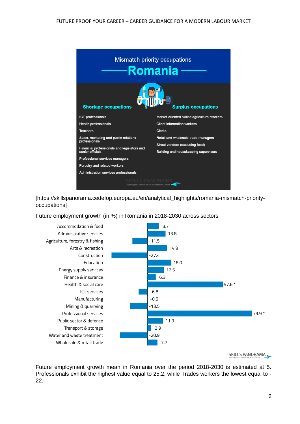

[https://skillspanorama.cedefop.europa.eu/en/analytical\_highlights/romania-mismatch-priorityoccupations]

Future employment growth (in %) in Romania in 2018-2030 across sectors



SKILLS PANORAMA

Future employment growth mean in Romania over the period 2018-2030 is estimated at 5. Professionals exhibit the highest value equal to 25.2, while Trades workers the lowest equal to - 22.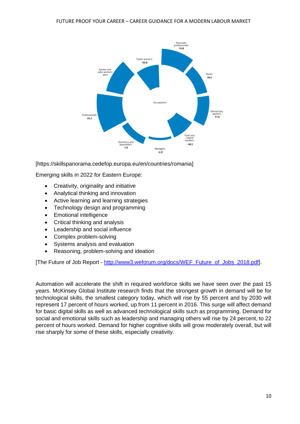

[https://skillspanorama.cedefop.europa.eu/en/countries/romania]

Emerging skills in 2022 for Eastern Europe:

- Creativity, originality and initiative
- Analytical thinking and innovation
- Active learning and learning strategies
- Technology design and programming
- Emotional intelligence
- Critical thinking and analysis
- Leadership and social influence
- Complex problem-solving
- Systems analysis and evaluation
- Reasoning, problem-solving and ideation

[The Future of Job Report - [http://www3.weforum.org/docs/WEF\\_Future\\_of\\_Jobs\\_2018.pdf\]](http://www3.weforum.org/docs/WEF_Future_of_Jobs_2018.pdf).

Automation will accelerate the shift in required workforce skills we have seen over the past 15 years. McKinsey Global Institute research finds that the strongest growth in demand will be for technological skills, the smallest category today, which will rise by 55 percent and by 2030 will represent 17 percent of hours worked, up from 11 percent in 2016. This surge will affect demand for basic digital skills as well as advanced technological skills such as programming. Demand for social and emotional skills such as leadership and managing others will rise by 24 percent, to 22 percent of hours worked. Demand for higher cognitive skills will grow moderately overall, but will rise sharply for some of these skills, especially creativity.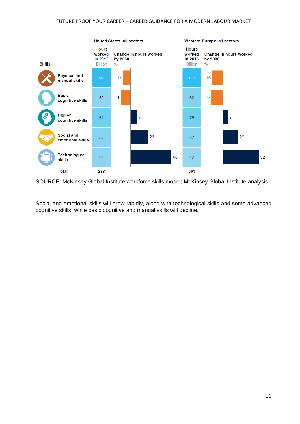

SOURCE: McKinsey Global Institute workforce skills model; McKinsey Global Institute analysis

Social and emotional skills will grow rapidly, along with technological skills and some advanced cognitive skills, while basic cognitive and manual skills will decline.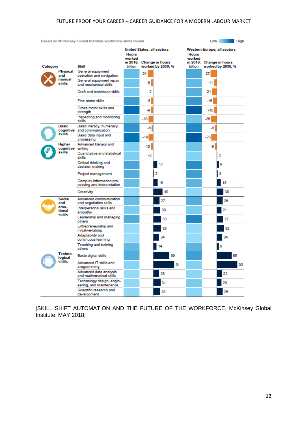| Based on McKinsey Global Institute workforce skills model<br>Low<br>High |                                              |                                                        |                               |       |                                             |                               |                                             |    |
|--------------------------------------------------------------------------|----------------------------------------------|--------------------------------------------------------|-------------------------------|-------|---------------------------------------------|-------------------------------|---------------------------------------------|----|
|                                                                          |                                              |                                                        | <b>Hours</b>                  |       | <b>United States, all sectors</b>           | <b>Hours</b>                  | <b>Western Europe, all sectors</b>          |    |
| Category                                                                 |                                              | Skill                                                  | worked<br>in 2016.<br>billion |       | <b>Change in hours</b><br>worked by 2030, % | worked<br>in 2016,<br>billion | <b>Change in hours</b><br>worked by 2030, % |    |
|                                                                          | Physical<br>and                              | General equipment                                      |                               | $-24$ |                                             |                               | -27                                         |    |
|                                                                          | manual                                       | operation and navigation<br>General equipment repair   |                               |       |                                             |                               |                                             |    |
|                                                                          | skills                                       | and mechanical skills                                  |                               | -9    |                                             |                               | -11                                         |    |
|                                                                          |                                              | Craft and technician skills                            |                               | -2    |                                             |                               | -21                                         |    |
|                                                                          |                                              | Fine motor skills                                      |                               | -8    |                                             |                               | -15                                         |    |
|                                                                          |                                              | Gross motor skills and<br>strength                     |                               | -9    |                                             |                               | -10                                         |    |
|                                                                          |                                              | Inspecting and monitoring<br>skills                    |                               | $-20$ |                                             |                               | $-25$                                       |    |
|                                                                          | <b>Basic</b><br>cognitive                    | Basic literacy, numeracy,<br>and communication         |                               | -6    |                                             |                               | -8                                          |    |
|                                                                          | skills                                       | Basic data input and                                   |                               |       |                                             |                               |                                             |    |
|                                                                          |                                              | processing                                             |                               | $-19$ |                                             |                               | -23                                         |    |
|                                                                          | <b>Higher</b><br>cognitive writing<br>skills | Advanced literacy and                                  |                               | $-10$ |                                             |                               | -8                                          |    |
|                                                                          |                                              | Quantitative and statistical<br>skills                 |                               | -2    |                                             |                               | 2                                           |    |
|                                                                          |                                              | Critical thinking and<br>decision making               |                               |       | 17                                          |                               | 8                                           |    |
|                                                                          |                                              | Project management                                     |                               |       | 2                                           |                               | 3                                           |    |
|                                                                          |                                              | Complex information pro-<br>cessing and interpretation |                               |       | 18                                          |                               | 18                                          |    |
|                                                                          |                                              | Creativity                                             |                               |       | 40                                          |                               | 30                                          |    |
|                                                                          | <b>Social</b><br>and<br>emo-                 | Advanced communication<br>and negotiation skills       |                               |       | 27                                          |                               | 26                                          |    |
|                                                                          | tional<br>skills                             | Interpersonal skills and<br>empathy                    |                               |       | 30                                          |                               | 21                                          |    |
|                                                                          |                                              | Leadership and managing<br>others                      |                               |       | 33                                          |                               | 27                                          |    |
|                                                                          |                                              | Entrepreneurship and<br>initiative-taking              |                               |       | 33                                          |                               | 32                                          |    |
|                                                                          |                                              | Adaptability and<br>continuous learning                |                               |       | 24                                          |                               | 24                                          |    |
|                                                                          |                                              | Teaching and training<br>others                        |                               |       | 14                                          |                               | 8                                           |    |
|                                                                          | Techno-<br>logical                           | Basic digital skills                                   |                               |       | 69                                          |                               | 65                                          |    |
|                                                                          | skills                                       | Advanced IT skills and<br>programming                  |                               |       | 91                                          |                               |                                             | 92 |
|                                                                          |                                              | Advanced data analysis<br>and mathematical skills      |                               |       | 25                                          |                               | 22                                          |    |
|                                                                          |                                              | Technology design, engin-<br>eering, and maintenance   |                               |       | 31                                          |                               | 20                                          |    |
|                                                                          |                                              | Scientific research and<br>development                 |                               |       | 28                                          |                               | 25                                          |    |

[SKILL SHIFT AUTOMATION AND THE FUTURE OF THE WORKFORCE, McKinsey Global Institute, MAY 2018]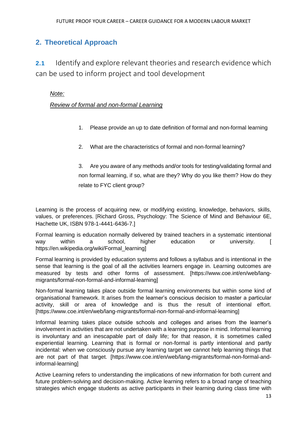## <span id="page-12-0"></span>**2. Theoretical Approach**

<span id="page-12-1"></span>**2.1** Identify and explore relevant theories and research evidence which can be used to inform project and tool development

## *Note:*

### *Review of formal and non-formal Learning*

- 1. Please provide an up to date definition of formal and non-formal learning
- 2. What are the characteristics of formal and non-formal learning?

3. Are you aware of any methods and/or tools for testing/validating formal and non formal learning, if so, what are they? Why do you like them? How do they relate to FYC client group?

Learning is the process of acquiring new, or modifying existing, knowledge, behaviors, skills, values, or preferences. [Richard Gross, Psychology: The Science of Mind and Behaviour 6E, Hachette UK, ISBN 978-1-4441-6436-7.]

Formal learning is education normally delivered by trained teachers in a systematic intentional way within a school, higher education or university. [ https://en.wikipedia.org/wiki/Formal\_learning]

Formal learning is provided by education systems and follows a syllabus and is intentional in the sense that learning is the goal of all the activities learners engage in. Learning outcomes are measured by tests and other forms of assessment. [https://www.coe.int/en/web/langmigrants/formal-non-formal-and-informal-learning]

Non-formal learning takes place outside formal learning environments but within some kind of organisational framework. It arises from the learner's conscious decision to master a particular activity, skill or area of knowledge and is thus the result of intentional effort. [https://www.coe.int/en/web/lang-migrants/formal-non-formal-and-informal-learning]

Informal learning takes place outside schools and colleges and arises from the learner's involvement in activities that are not undertaken with a learning purpose in mind. Informal learning is involuntary and an inescapable part of daily life; for that reason, it is sometimes called experiential learning. Learning that is formal or non-formal is partly intentional and partly incidental: when we consciously pursue any learning target we cannot help learning things that are not part of that target. [https://www.coe.int/en/web/lang-migrants/formal-non-formal-andinformal-learning]

Active Learning refers to understanding the implications of new information for both current and future problem-solving and decision-making. Active learning refers to a broad range of teaching strategies which engage students as active participants in their learning during class time with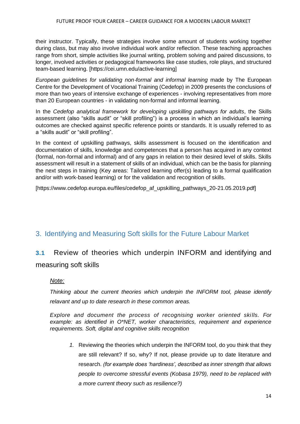their instructor. Typically, these strategies involve some amount of students working together during class, but may also involve individual work and/or reflection. These teaching approaches range from short, simple activities like journal writing, problem solving and paired discussions, to longer, involved activities or pedagogical frameworks like case studies, role plays, and structured team-based learning. [https://cei.umn.edu/active-learning]

*European guidelines for validating non*‑*formal and informal learning* made by The European Centre for the Development of Vocational Training (Cedefop) in 2009 presents the conclusions of more than two years of intensive exchange of experiences - involving representatives from more than 20 European countries - in validating non-formal and informal learning.

In the *Cedefop analytical framework for developing upskilling pathways for adults*, the Skills assessment (also "skills audit" or "skill profiling") is a process in which an individual's learning outcomes are checked against specific reference points or standards. It is usually referred to as a "skills audit" or "skill profiling".

In the context of upskilling pathways, skills assessment is focused on the identification and documentation of skills, knowledge and competences that a person has acquired in any context (formal, non-formal and informal) and of any gaps in relation to their desired level of skills. Skills assessment will result in a statement of skills of an individual, which can be the basis for planning the next steps in training (Key areas: Tailored learning offer(s) leading to a formal qualification and/or with work-based learning) or for the validation and recognition of skills.

[https://www.cedefop.europa.eu/files/cedefop\_af\_upskilling\_pathways\_20-21.05.2019.pdf]

## <span id="page-13-0"></span>3. Identifying and Measuring Soft skills for the Future Labour Market

## **3.1** Review of theories which underpin INFORM and identifying and measuring soft skills

#### *Note:*

*Thinking about the current theories which underpin the INFORM tool, please identify relavant and up to date research in these common areas.*

*Explore and document the process of recognising worker oriented skills. For example: as identified in O\*NET, worker characteristics, requirement and experience requirements. Soft, digital and cognitive skills recognition*

*1.* Reviewing the theories which underpin the INFORM tool, do you think that they are still relevant? If so, why? If not, please provide up to date literature and research. *(for example does 'hardiness', described as inner strength that allows people to overcome stressful events (Kobasa 1979), need to be replaced with a more current theory such as resilience?)*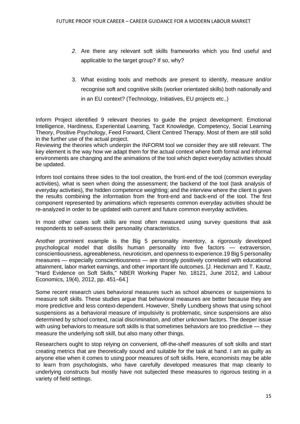- *2.* Are there any relevant soft skills frameworks which you find useful and applicable to the target group? If so, why?
- 3. What existing tools and methods are present to identify, measure and/or recognise soft and cognitive skills (worker orientated skills) both nationally and in an EU context? (Technology, Initiatives, EU projects etc..)

Inform Project identified 9 relevant theories to guide the project development: Emotional Intelligence, Hardiness, Experiential Learning, Tacit Knowledge, Competency, Social Learning Theory, Positive Psychology, Feed Forward, Client Centred Therapy. Most of them are still solid in the further use of the actual project.

Reviewing the theories which underpin the INFORM tool we consider they are still relevant. The key element is the way how we adapt them for the actual context where both formal and informal environments are changing and the animations of the tool which depict everyday activities should be updated.

Inform tool contains three sides to the tool creation, the front‑end of the tool (common everyday activities), what is seen when doing the assessment; the backend of the tool (task analysis of everyday activities), the hidden competence weighting; and the interview where the client is given the results combining the information from the front‑end and back‑end of the tool. The first component represented by animations which represents common everyday activities should be re-analyzed in order to be updated with current and future common everyday activities.

In most other cases soft skills are most often measured using survey questions that ask respondents to self-assess their personality characteristics.

Another prominent example is the Big 5 personality inventory, a rigorously developed psychological model that distills human personality into five factors — extraversion, conscientiousness, agreeableness, neuroticism, and openness to experience.19 Big 5 personality measures — especially conscientiousness — are strongly positively correlated with educational attainment, labor market earnings, and other important life outcomes. [J. Heckman and T. Kautz, "Hard Evidence on Soft Skills," NBER Working Paper No. 18121, June 2012, and Labour Economics, 19(4), 2012, pp. 451–64.]

Some recent research uses behavioral measures such as school absences or suspensions to measure soft skills. These studies argue that behavioral measures are better because they are more predictive and less context-dependent. However, Shelly Lundberg shows that using school suspensions as a behavioral measure of impulsivity is problematic, since suspensions are also determined by school context, racial discrimination, and other unknown factors. The deeper issue with using behaviors to measure soft skills is that sometimes behaviors are too predictive — they measure the underlying soft skill, but also many other things.

Researchers ought to stop relying on convenient, off-the-shelf measures of soft skills and start creating metrics that are theoretically sound and suitable for the task at hand. I am as guilty as anyone else when it comes to using poor measures of soft skills. Here, economists may be able to learn from psychologists, who have carefully developed measures that map cleanly to underlying constructs but mostly have not subjected these measures to rigorous testing in a variety of field settings.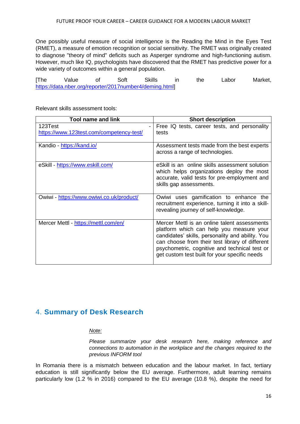One possibly useful measure of social intelligence is the Reading the Mind in the Eyes Test (RMET), a measure of emotion recognition or social sensitivity. The RMET was originally created to diagnose "theory of mind" deficits such as Asperger syndrome and high-functioning autism. However, much like IQ, psychologists have discovered that the RMET has predictive power for a wide variety of outcomes within a general population.

| <b>The</b> | Value                                                   | Soft | Skills | the | Labor | Market, |
|------------|---------------------------------------------------------|------|--------|-----|-------|---------|
|            | https://data.nber.org/reporter/2017number4/deming.html] |      |        |     |       |         |

| <b>Tool name and link</b>                | <b>Short description</b>                                                                                                                                                                                                                                                                          |
|------------------------------------------|---------------------------------------------------------------------------------------------------------------------------------------------------------------------------------------------------------------------------------------------------------------------------------------------------|
| 123Test                                  | Free IQ tests, career tests, and personality                                                                                                                                                                                                                                                      |
| https://www.123test.com/competency-test/ | tests                                                                                                                                                                                                                                                                                             |
| Kandio - https://kand.io/                | Assessment tests made from the best experts<br>across a range of technologies.                                                                                                                                                                                                                    |
| eSkill - https://www.eskill.com/         | eSkill is an online skills assessment solution<br>which helps organizations deploy the most<br>accurate, valid tests for pre-employment and<br>skills gap assessments.                                                                                                                            |
| Owiwi - https://www.owiwi.co.uk/product/ | Owiwi uses gamification to enhance the<br>recruitment experience, turning it into a skill-<br>revealing journey of self-knowledge.                                                                                                                                                                |
| Mercer Mettl - https://mettl.com/en/     | Mercer Mettl is an online talent assessments<br>platform which can help you measure your<br>candidates' skills, personality and ability. You<br>can choose from their test library of different<br>psychometric, cognitive and technical test or<br>get custom test built for your specific needs |

Relevant skills assessment tools:

## <span id="page-15-0"></span>4. **Summary of Desk Research**

#### *Note:*

*Please summarize your desk research here, making reference and connections to automation in the workplace and the changes required to the previous INFORM tool*

In Romania there is a mismatch between education and the labour market. In fact, tertiary education is still significantly below the EU average. Furthermore, adult learning remains particularly low (1.2 % in 2016) compared to the EU average (10.8 %), despite the need for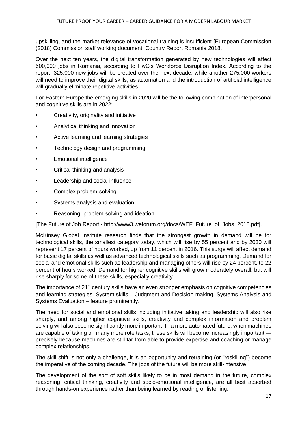upskilling, and the market relevance of vocational training is insufficient [European Commission (2018) Commission staff working document, Country Report Romania 2018.]

Over the next ten years, the digital transformation generated by new technologies will affect 600,000 jobs in Romania, according to PwC's Workforce Disruption Index. According to the report, 325,000 new jobs will be created over the next decade, while another 275,000 workers will need to improve their digital skills, as automation and the introduction of artificial intelligence will gradually eliminate repetitive activities.

For Eastern Europe the emerging skills in 2020 will be the following combination of interpersonal and cognitive skills are in 2022:

- Creativity, originality and initiative
- Analytical thinking and innovation
- Active learning and learning strategies
- Technology design and programming
- Emotional intelligence
- Critical thinking and analysis
- Leadership and social influence
- Complex problem-solving
- Systems analysis and evaluation
- Reasoning, problem-solving and ideation

[The Future of Job Report - http://www3.weforum.org/docs/WEF\_Future\_of\_Jobs\_2018.pdf].

McKinsey Global Institute research finds that the strongest growth in demand will be for technological skills, the smallest category today, which will rise by 55 percent and by 2030 will represent 17 percent of hours worked, up from 11 percent in 2016. This surge will affect demand for basic digital skills as well as advanced technological skills such as programming. Demand for social and emotional skills such as leadership and managing others will rise by 24 percent, to 22 percent of hours worked. Demand for higher cognitive skills will grow moderately overall, but will rise sharply for some of these skills, especially creativity.

The importance of 21<sup>st</sup> century skills have an even stronger emphasis on cognitive competencies and learning strategies. System skills – Judgment and Decision-making, Systems Analysis and Systems Evaluation – feature prominently.

The need for social and emotional skills including initiative taking and leadership will also rise sharply, and among higher cognitive skills, creativity and complex information and problem solving will also become significantly more important. In a more automated future, when machines are capable of taking on many more rote tasks, these skills will become increasingly important precisely because machines are still far from able to provide expertise and coaching or manage complex relationships.

The skill shift is not only a challenge, it is an opportunity and retraining (or "reskilling") become the imperative of the coming decade. The jobs of the future will be more skill-intensive.

The development of the sort of soft skills likely to be in most demand in the future, complex reasoning, critical thinking, creativity and socio-emotional intelligence, are all best absorbed through hands-on experience rather than being learned by reading or listening.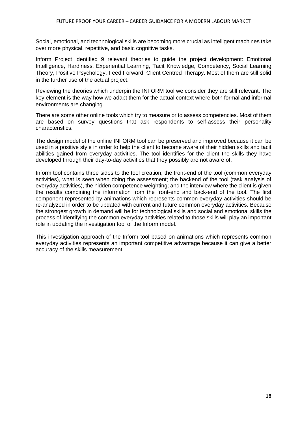Social, emotional, and technological skills are becoming more crucial as intelligent machines take over more physical, repetitive, and basic cognitive tasks.

Inform Project identified 9 relevant theories to guide the project development: Emotional Intelligence, Hardiness, Experiential Learning, Tacit Knowledge, Competency, Social Learning Theory, Positive Psychology, Feed Forward, Client Centred Therapy. Most of them are still solid in the further use of the actual project.

Reviewing the theories which underpin the INFORM tool we consider they are still relevant. The key element is the way how we adapt them for the actual context where both formal and informal environments are changing.

There are some other online tools which try to measure or to assess competencies. Most of them are based on survey questions that ask respondents to self-assess their personality characteristics.

The design model of the online INFORM tool can be preserved and improved because it can be used in a positive style in order to help the client to become aware of their hidden skills and tacit abilities gained from everyday activities. The tool identifies for the client the skills they have developed through their day-to-day activities that they possibly are not aware of.

Inform tool contains three sides to the tool creation, the front-end of the tool (common everyday activities), what is seen when doing the assessment; the backend of the tool (task analysis of everyday activities), the hidden competence weighting; and the interview where the client is given the results combining the information from the front‑end and back‑end of the tool. The first component represented by animations which represents common everyday activities should be re-analyzed in order to be updated with current and future common everyday activities. Because the strongest growth in demand will be for technological skills and social and emotional skills the process of identifying the common everyday activities related to those skills will play an important role in updating the investigation tool of the Inform model.

This investigation approach of the Inform tool based on animations which represents common everyday activities represents an important competitive advantage because it can give a better accuracy of the skills measurement.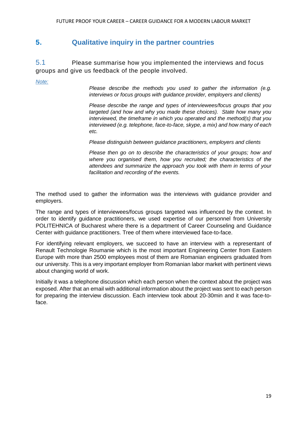## <span id="page-18-0"></span>**5. Qualitative inquiry in the partner countries**

5.1 Please summarise how you implemented the interviews and focus groups and give us feedback of the people involved.

*Note:*

*Please describe the methods you used to gather the information (e.g. interviews or focus groups with guidance provider, employers and clients)*

*Please describe the range and types of interviewees/focus groups that you targeted (and how and why you made these choices). State how many you interviewed, the timeframe in which you operated and the method(s) that you interviewed (e.g. telephone, face-to-face, skype, a mix) and how many of each etc.* 

*Please distinguish between guidance practitioners, employers and clients*

*Please then go on to describe the characteristics of your groups; how and where you organised them, how you recruited; the characteristics of the attendees and summarize the approach you took with them in terms of your facilitation and recording of the events.* 

The method used to gather the information was the interviews with guidance provider and employers.

The range and types of interviewees/focus groups targeted was influenced by the context. In order to identify guidance practitioners, we used expertise of our personnel from University POLITEHNICA of Bucharest where there is a department of Career Counseling and Guidance Center with guidance practitioners. Tree of them where interviewed face-to-face.

For identifying relevant employers, we succeed to have an interview with a representant of Renault Technologie Roumanie which is the most important Engineering Center from Eastern Europe with more than 2500 employees most of them are Romanian engineers graduated from our university. This is a very important employer from Romanian labor market with pertinent views about changing world of work.

Initially it was a telephone discussion which each person when the context about the project was exposed. After that an email with additional information about the project was sent to each person for preparing the interview discussion. Each interview took about 20-30min and it was face-toface.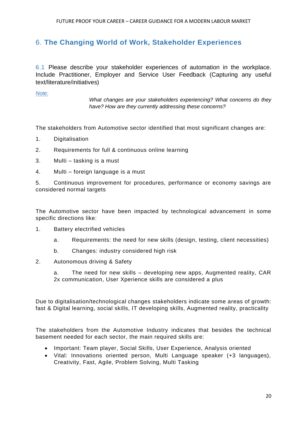## 6. **The Changing World of Work, Stakeholder Experiences**

6.1 Please describe your stakeholder experiences of automation in the workplace. Include Practitioner, Employer and Service User Feedback (Capturing any useful text/literature/initiatives)

*Note:*

*What changes are your stakeholders experiencing? What concerns do they have? How are they currently addressing these concerns?* 

The stakeholders from Automotive sector identified that most significant changes are:

- 1. Digitalisation
- 2. Requirements for full & continuous online learning
- 3. Multi tasking is a must
- 4. Multi foreign language is a must

5. Continuous improvement for procedures, performance or economy savings are considered normal targets

The Automotive sector have been impacted by technological advancement in some specific directions like:

- 1. Battery electrified vehicles
	- a. Requirements: the need for new skills (design, testing, client necessities)
	- b. Changes: industry considered high risk
- 2. Autonomous driving & Safety

a. The need for new skills – developing new apps, Augmented reality, CAR 2x communication, User Xperience skills are considered a plus

Due to digitalisation/technological changes stakeholders indicate some areas of growth: fast & Digital learning, social skills, IT developing skills, Augmented reality, practicality

The stakeholders from the Automotive Industry indicates that besides the technical basement needed for each sector, the main required skills are:

- Important: Team player, Social Skills, User Experience, Analysis oriented
- Vital: Innovations oriented person, Multi Language speaker (+3 languages), Creativity, Fast, Agile, Problem Solving, Multi Tasking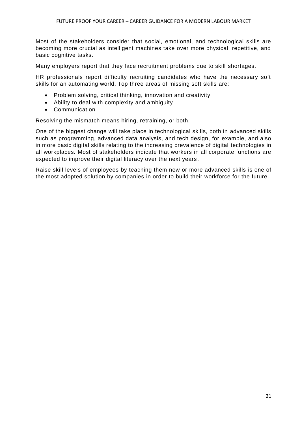Most of the stakeholders consider that social, emotional, and technological skills are becoming more crucial as intelligent machines take over more physical, repetitive, and basic cognitive tasks.

Many employers report that they face recruitment problems due to skill shortages.

HR professionals report difficulty recruiting candidates who have the necessary soft skills for an automating world. Top three areas of missing soft skills are:

- Problem solving, critical thinking, innovation and creativity
- Ability to deal with complexity and ambiguity
- Communication

Resolving the mismatch means hiring, retraining, or both.

One of the biggest change will take place in technological skills, both in advanced skills such as programming, advanced data analysis, and tech design, for example, and also in more basic digital skills relating to the increasing prevalence of digital technologies in all workplaces. Most of stakeholders indicate that workers in all corporate functions are expected to improve their digital literacy over the next years.

Raise skill levels of employees by teaching them new or more advanced skills is one of the most adopted solution by companies in order to build their workforce for the future.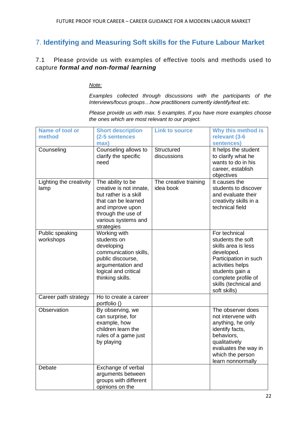## <span id="page-21-0"></span>7. **Identifying and Measuring Soft skills for the Future Labour Market**

<span id="page-21-1"></span>7.1 Please provide us with examples of effective tools and methods used to capture *formal and non-formal learning*

*Note:*

*Examples collected through discussions with the participants of the Interviews/focus groups…how practitioners currently identify/test etc.*

*Please provide us with max. 5 examples. If you have more examples choose the ones which are most relevant to our project.*

| <b>Name of tool or</b>          | <b>Short description</b>                                                                                                                                                    | <b>Link to source</b>              | Why this method is                                                                                                                                                                                      |
|---------------------------------|-----------------------------------------------------------------------------------------------------------------------------------------------------------------------------|------------------------------------|---------------------------------------------------------------------------------------------------------------------------------------------------------------------------------------------------------|
| method                          | (2-5 sentences                                                                                                                                                              |                                    | relevant (3-6                                                                                                                                                                                           |
|                                 | max)                                                                                                                                                                        |                                    | sentences)                                                                                                                                                                                              |
| Counseling                      | Counseling allows to<br>clarify the specific<br>need                                                                                                                        | <b>Structured</b><br>discussions   | It helps the student<br>to clarify what he<br>wants to do in his<br>career, establish<br>objectives                                                                                                     |
| Lighting the creativity<br>lamp | The ability to be<br>creative is not innate,<br>but rather is a skill<br>that can be learned<br>and improve upon<br>through the use of<br>various systems and<br>strategies | The creative training<br>idea book | It causes the<br>students to discover<br>and evaluate their<br>creativity skills in a<br>technical field                                                                                                |
| Public speaking<br>workshops    | Working with<br>students on<br>developing<br>communication skills,<br>public discourse,<br>argumentation and<br>logical and critical<br>thinking skills.                    |                                    | For technical<br>students the soft<br>skills area is less<br>developed.<br>Participation in such<br>activities helps<br>students gain a<br>complete profile of<br>skills (technical and<br>soft skills) |
| Career path strategy            | Ho to create a career<br>portfolio ()                                                                                                                                       |                                    |                                                                                                                                                                                                         |
| Observation                     | By observing, we<br>can surprise, for<br>example, how<br>children learn the<br>rules of a game just<br>by playing                                                           |                                    | The observer does<br>not intervene with<br>anything, he only<br>identify facts,<br>behaviors,<br>qualitatively<br>evaluates the way in<br>which the person<br>learn nonnormally                         |
| Debate                          | Exchange of verbal<br>arguments between<br>groups with different<br>opinions on the                                                                                         |                                    |                                                                                                                                                                                                         |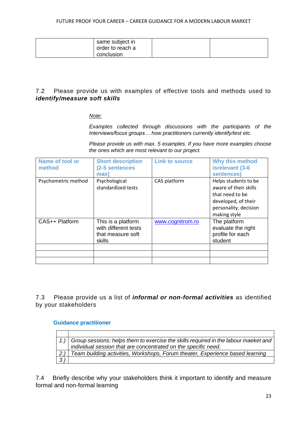| same subject in<br>order to reach a<br>conclusion |  |
|---------------------------------------------------|--|
|                                                   |  |

### <span id="page-22-0"></span>7.2 Please provide us with examples of effective tools and methods used to *identify/measure soft skills*

*Note:*

*Examples collected through discussions with the participants of the Interviews/focus groups… how practitioners currently identify/test etc.*

*Please provide us with max. 5 examples. If you have more examples choose the ones which are most relevant to our project.*

| Name of tool or<br>method | <b>Short description</b><br>(2-5 sentences<br>max)                        | <b>Link to source</b> | <b>Why this method</b><br>isrelevant (3-6<br>sentences)                                                                          |
|---------------------------|---------------------------------------------------------------------------|-----------------------|----------------------------------------------------------------------------------------------------------------------------------|
| Psychometric method       | Psychological<br>standardized tests                                       | CAS platform          | Helps students to be<br>aware of their skills<br>that need to be<br>developed, of their<br>personality, decision<br>making style |
| CAS++ Platform            | This is a platform<br>with different tests<br>that measure soft<br>skills | www.cognitrom.ro      | The platform<br>evaluate the right<br>profile for each<br>student                                                                |
|                           |                                                                           |                       |                                                                                                                                  |

<span id="page-22-1"></span>7.3 Please provide us a list of *informal or non-formal activities* as identified by your stakeholders

#### **Guidance practitioner**

|     | 1.) Group sessions: helps them to exercise the skills required in the labour maeket and |
|-----|-----------------------------------------------------------------------------------------|
|     | individual session that are concentrated on the specific need.                          |
| 2.1 | Team building activities, Workshops, Forum theater, Experience based learning           |
|     |                                                                                         |

7.4 Briefly describe why your stakeholders think it important to identify and measure formal and non-formal learning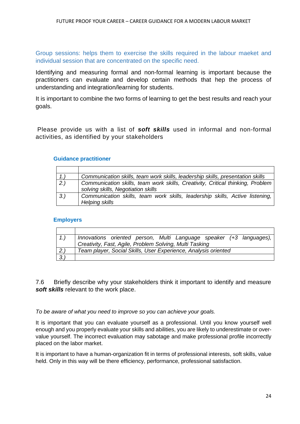Group sessions: helps them to exercise the skills required in the labour maeket and individual session that are concentrated on the specific need.

Identifying and measuring formal and non-formal learning is important because the practitioners can evaluate and develop certain methods that hep the process of understanding and integration/learning for students.

It is important to combine the two forms of learning to get the best results and reach your goals.

<span id="page-23-0"></span>Please provide us with a list of *soft skills* used in informal and non-formal activities, as identified by your stakeholders

#### **Guidance practitioner**

| 1.     | Communication skills, team work skills, leadership skills, presentation skills                                       |
|--------|----------------------------------------------------------------------------------------------------------------------|
| $2.$ ) | Communication skills, team work skills, Creativity, Critical thinking, Problem<br>solving skills, Negotiation skills |
| 3.     | Communication skills, team work skills, leadership skills, Active listening,<br>Helping skills                       |

#### **Employers**

|     | Innovations oriented person, Multi Language speaker (+3 languages), |
|-----|---------------------------------------------------------------------|
|     | Creativity, Fast, Agile, Problem Solving, Multi Tasking             |
| 2.) | Team player, Social Skills, User Experience, Analysis oriented      |
| 3.1 |                                                                     |

7.6 Briefly describe why your stakeholders think it important to identify and measure *soft skills* relevant to the work place.

*To be aware of what you need to improve so you can achieve your goals.*

It is important that you can evaluate yourself as a professional. Until you know yourself well enough and you properly evaluate your skills and abilities, you are likely to underestimate or overvalue yourself. The incorrect evaluation may sabotage and make professional profile incorrectly placed on the labor market.

It is important to have a human-organization fit in terms of professional interests, soft skills, value held. Only in this way will be there efficiency, performance, professional satisfaction.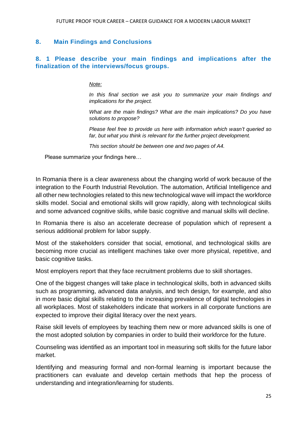### <span id="page-24-0"></span>**8. Main Findings and Conclusions**

## <span id="page-24-1"></span>**8. 1 Please describe your main findings and implications after the finalization of the interviews/focus groups.**

#### *Note:*

*In this final section we ask you to summarize your main findings and implications for the project.* 

*What are the main findings? What are the main implications? Do you have solutions to propose?* 

*Please feel free to provide us here with information which wasn't queried so*  far, but what you think is relevant for the further project development.

*This section should be between one and two pages of A4.*

Please summarize your findings here…

In Romania there is a clear awareness about the changing world of work because of the integration to the Fourth Industrial Revolution. The automation, Artificial Intelligence and all other new technologies related to this new technological wave will impact the workforce skills model. Social and emotional skills will grow rapidly, along with technological skills and some advanced cognitive skills, while basic cognitive and manual skills will decline.

In Romania there is also an accelerate decrease of population which of represent a serious additional problem for labor supply.

Most of the stakeholders consider that social, emotional, and technological skills are becoming more crucial as intelligent machines take over more physical, repetitive, and basic cognitive tasks.

Most employers report that they face recruitment problems due to skill shortages.

One of the biggest changes will take place in technological skills, both in advanced skills such as programming, advanced data analysis, and tech design, for example, and also in more basic digital skills relating to the increasing prevalence of digital technologies in all workplaces. Most of stakeholders indicate that workers in all corporate functions are expected to improve their digital literacy over the next years.

Raise skill levels of employees by teaching them new or more advanced skills is one of the most adopted solution by companies in order to build their workforce for the future.

Counseling was identified as an important tool in measuring soft skills for the future labor market.

Identifying and measuring formal and non-formal learning is important because the practitioners can evaluate and develop certain methods that hep the process of understanding and integration/learning for students.